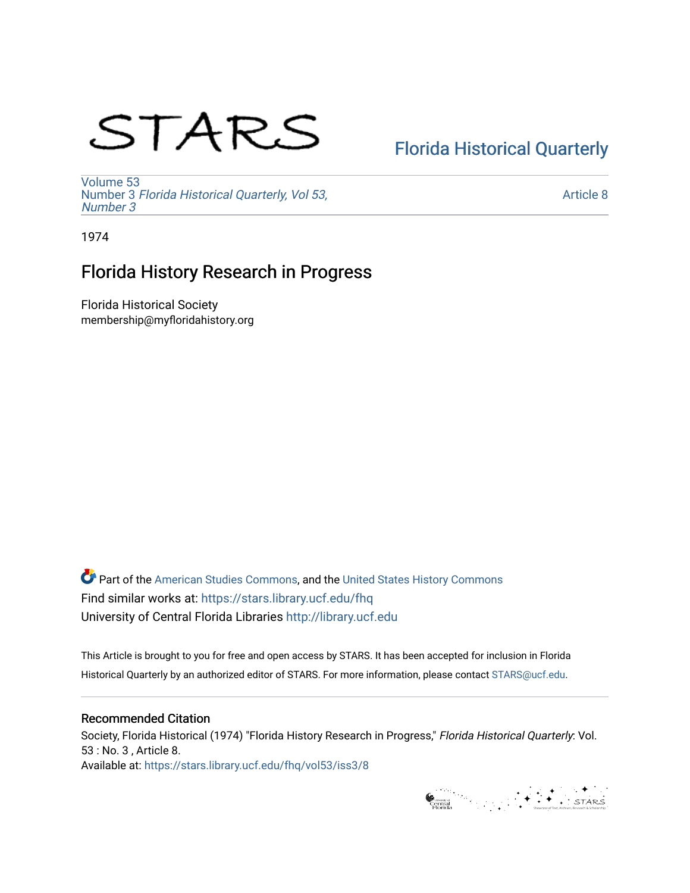# STARS

# [Florida Historical Quarterly](https://stars.library.ucf.edu/fhq)

[Volume 53](https://stars.library.ucf.edu/fhq/vol53) Number 3 [Florida Historical Quarterly, Vol 53,](https://stars.library.ucf.edu/fhq/vol53/iss3)  [Number 3](https://stars.library.ucf.edu/fhq/vol53/iss3)

[Article 8](https://stars.library.ucf.edu/fhq/vol53/iss3/8) 

1974

# Florida History Research in Progress

Florida Historical Society membership@myfloridahistory.org

**C** Part of the [American Studies Commons](http://network.bepress.com/hgg/discipline/439?utm_source=stars.library.ucf.edu%2Ffhq%2Fvol53%2Fiss3%2F8&utm_medium=PDF&utm_campaign=PDFCoverPages), and the United States History Commons Find similar works at: <https://stars.library.ucf.edu/fhq> University of Central Florida Libraries [http://library.ucf.edu](http://library.ucf.edu/) 

This Article is brought to you for free and open access by STARS. It has been accepted for inclusion in Florida Historical Quarterly by an authorized editor of STARS. For more information, please contact [STARS@ucf.edu.](mailto:STARS@ucf.edu)

# Recommended Citation

Society, Florida Historical (1974) "Florida History Research in Progress," Florida Historical Quarterly: Vol. 53 : No. 3 , Article 8. Available at: [https://stars.library.ucf.edu/fhq/vol53/iss3/8](https://stars.library.ucf.edu/fhq/vol53/iss3/8?utm_source=stars.library.ucf.edu%2Ffhq%2Fvol53%2Fiss3%2F8&utm_medium=PDF&utm_campaign=PDFCoverPages) 

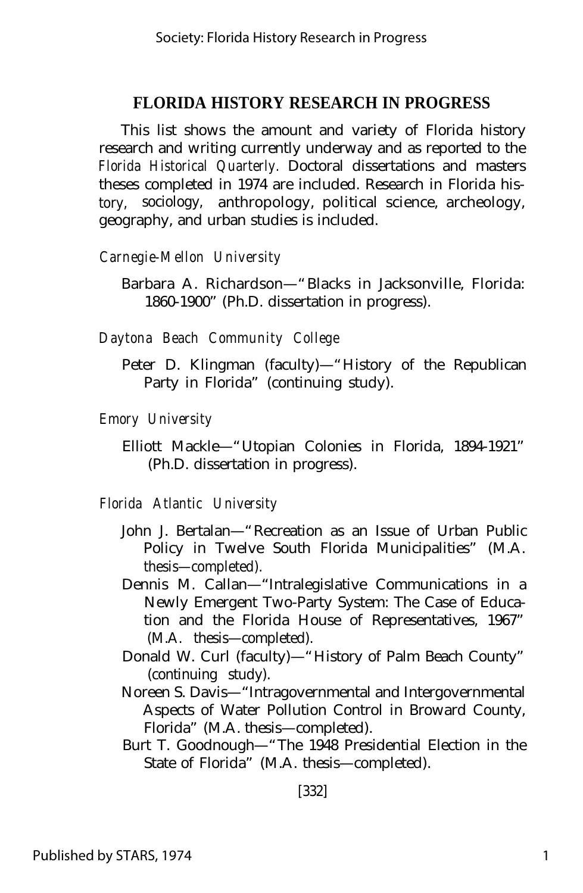This list shows the amount and variety of Florida history research and writing currently underway and as reported to the *Florida Historical Quarterly.* Doctoral dissertations and masters theses completed in 1974 are included. Research in Florida history, sociology, anthropology, political science, archeology, geography, and urban studies is included.

*Carnegie-Mellon University*

Barbara A. Richardson— "Blacks in Jacksonville, Florida: 1860-1900" (Ph.D. dissertation in progress).

*Daytona Beach Community College*

Peter D. Klingman (faculty)— "History of the Republican Party in Florida" (continuing study).

*Emory University*

Elliott Mackle— "Utopian Colonies in Florida, 1894-1921" (Ph.D. dissertation in progress).

*Florida Atlantic University*

- John J. Bertalan— "Recreation as an Issue of Urban Public Policy in Twelve South Florida Municipalities" (M.A. thesis— completed).
- Dennis M. Callan— "Intralegislative Communications in a Newly Emergent Two-Party System: The Case of Education and the Florida House of Representatives, 1967" (M.A. thesis— completed).
- Donald W. Curl (faculty)— "History of Palm Beach County" (continuing study).
- Noreen S. Davis— "Intragovernmental and Intergovernmental Aspects of Water Pollution Control in Broward County, Florida" (M.A. thesis— completed).
- Burt T. Goodnough— "The 1948 Presidential Election in the State of Florida" (M.A. thesis— completed).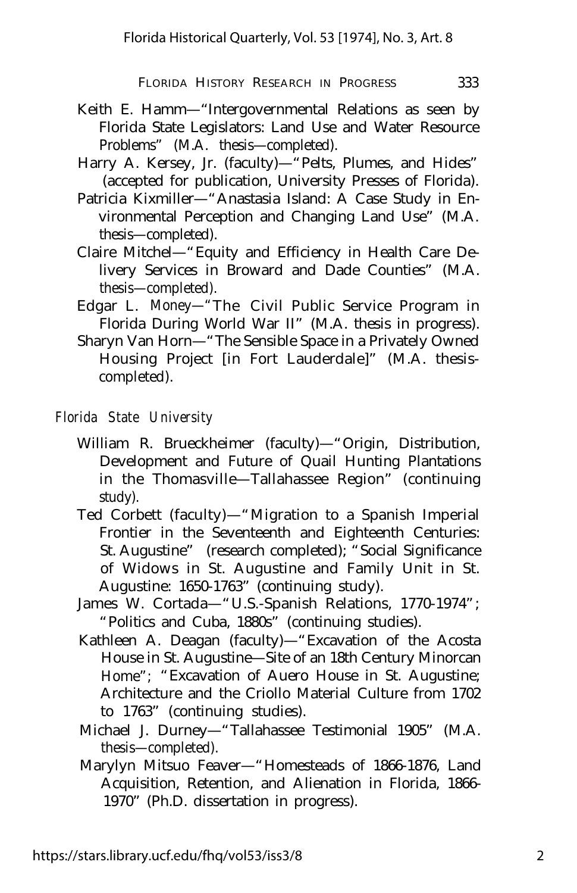- Keith E. Hamm— "Intergovernmental Relations as seen by Florida State Legislators: Land Use and Water Resource Problems" (M.A. thesis— completed).
- Harry A. Kersey, Jr. (faculty)— "Pelts, Plumes, and Hides" (accepted for publication, University Presses of Florida).
- Patricia Kixmiller— "Anastasia Island: A Case Study in Environmental Perception and Changing Land Use" (M.A. thesis— completed).
- Claire Mitchel— "Equity and Efficiency in Health Care Delivery Services in Broward and Dade Counties" (M.A. thesis— completed).
- Edgar L. Money— "The Civil Public Service Program in Florida During World War II" (M.A. thesis in progress).
- Sharyn Van Horn— "The Sensible Space in a Privately Owned Housing Project [in Fort Lauderdale]" (M.A. thesiscompleted).

#### *Florida State University*

- William R. Brueckheimer (faculty)— "Origin, Distribution, Development and Future of Quail Hunting Plantations in the Thomasville— Tallahassee Region" (continuing study).
- Ted Corbett (faculty)— "Migration to a Spanish Imperial Frontier in the Seventeenth and Eighteenth Centuries: St. Augustine" (research completed); "Social Significance of Widows in St. Augustine and Family Unit in St. Augustine: 1650-1763" (continuing study).
- James W. Cortada— "U.S.-Spanish Relations, 1770-1974"; "Politics and Cuba, 1880s" (continuing studies).
- Kathleen A. Deagan (faculty)— "Excavation of the Acosta House in St. Augustine— Site of an 18th Century Minorcan Home"; "Excavation of Auero House in St. Augustine; Architecture and the Criollo Material Culture from 1702 to 1763" (continuing studies).
- Michael J. Durney— "Tallahassee Testimonial 1905" (M.A. thesis— completed).
- Marylyn Mitsuo Feaver— "Homesteads of 1866-1876, Land Acquisition, Retention, and Alienation in Florida, 1866- 1970" (Ph.D. dissertation in progress).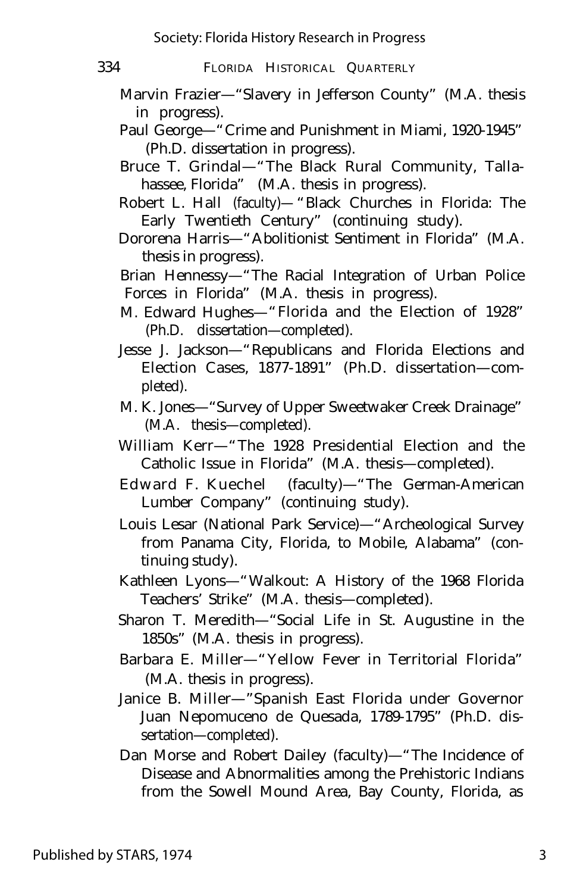- Marvin Frazier— "Slavery in Jefferson County" (M.A. thesis in progress).
- Paul George— "Crime and Punishment in Miami, 1920-1945" (Ph.D. dissertation in progress).
- Bruce T. Grindal— "The Black Rural Community, Tallahassee, Florida" (M.A. thesis in progress).
- Robert L. Hall (faculty)— "Black Churches in Florida: The Early Twentieth Century" (continuing study).
- Dororena Harris— "Abolitionist Sentiment in Florida" (M.A. thesis in progress).
- Brian Hennessy— "The Racial Integration of Urban Police Forces in Florida" (M.A. thesis in progress).
- M. Edward Hughes— "Florida and the Election of 1928" (Ph.D. dissertation— completed).
- Jesse J. Jackson— "Republicans and Florida Elections and Election Cases, 1877-1891" (Ph.D. dissertation— completed).
- M. K. Jones— "Survey of Upper Sweetwaker Creek Drainage" (M.A. thesis— completed).
- William Kerr— "The 1928 Presidential Election and the Catholic Issue in Florida" (M.A. thesis— completed).
- Edward F. Kuechel (faculty)— "The German-American Lumber Company" (continuing study).
- Louis Lesar (National Park Service)— "Archeological Survey from Panama City, Florida, to Mobile, Alabama" (continuing study).
- Kathleen Lyons— "Walkout: A History of the 1968 Florida Teachers' Strike" (M.A. thesis— completed).
- Sharon T. Meredith— "Social Life in St. Augustine in the 1850s" (M.A. thesis in progress).
- Barbara E. Miller— "Yellow Fever in Territorial Florida" (M.A. thesis in progress).
- Janice B. Miller— "Spanish East Florida under Governor Juan Nepomuceno de Quesada, 1789-1795" (Ph.D. dissertation— completed).
- Dan Morse and Robert Dailey (faculty)— "The Incidence of Disease and Abnormalities among the Prehistoric Indians from the Sowell Mound Area, Bay County, Florida, as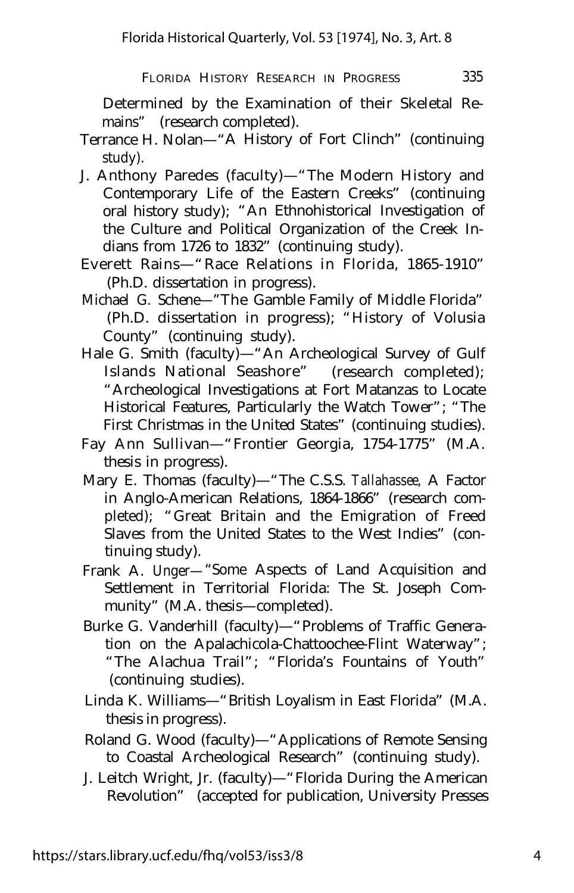- Terrance H. Nolan— "A History of Fort Clinch" (continuing study).
- J. Anthony Paredes (faculty)— "The Modern History and Contemporary Life of the Eastern Creeks" (continuing oral history study); "An Ethnohistorical Investigation of the Culture and Political Organization of the Creek Indians from 1726 to 1832" (continuing study).
- Everett Rains— "Race Relations in Florida, 1865-1910" (Ph.D. dissertation in progress).
- Michael G. Schene— "The Gamble Family of Middle Florida" (Ph.D. dissertation in progress); "History of Volusia County" (continuing study).
- Hale G. Smith (faculty)— "An Archeological Survey of Gulf Islands National Seashore" (research completed); "Archeological Investigations at Fort Matanzas to Locate Historical Features, Particularly the Watch Tower"; "The First Christmas in the United States" (continuing studies).
- Fay Ann Sullivan— "Frontier Georgia, 1754-1775" (M.A. thesis in progress).
- Mary E. Thomas (faculty)— "The C.S.S. *Tallahassee,* A Factor in Anglo-American Relations, 1864-1866" (research completed); "Great Britain and the Emigration of Freed Slaves from the United States to the West Indies" (continuing study).
- Frank A. Unger— "Some Aspects of Land Acquisition and Settlement in Territorial Florida: The St. Joseph Community" (M.A. thesis— completed).
- Burke G. Vanderhill (faculty)— "Problems of Traffic Generation on the Apalachicola-Chattoochee-Flint Waterway"; "The Alachua Trail"; "Florida's Fountains of Youth" (continuing studies).
- Linda K. Williams— "British Loyalism in East Florida" (M.A. thesis in progress).
- Roland G. Wood (faculty)— "Applications of Remote Sensing to Coastal Archeological Research" (continuing study).
- J. Leitch Wright, Jr. (faculty)— "Florida During the American Revolution" (accepted for publication, University Presses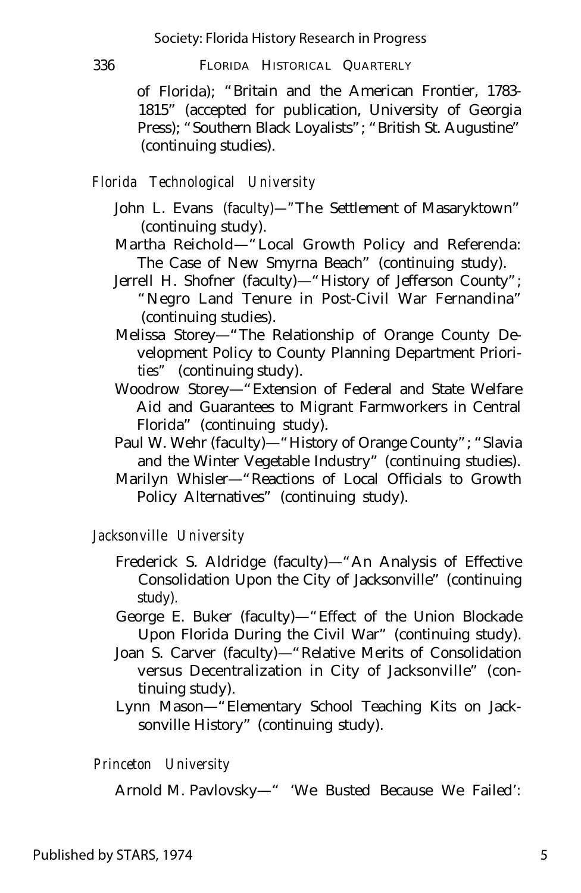of Florida); "Britain and the American Frontier, 1783- 1815" (accepted for publication, University of Georgia Press); "Southern Black Loyalists"; "British St. Augustine" (continuing studies).

## *Florida Technological University*

- John L. Evans (faculty)— "The Settlement of Masaryktown" (continuing study).
- Martha Reichold— "Local Growth Policy and Referenda: The Case of New Smyrna Beach" (continuing study).
- Jerrell H. Shofner (faculty)— "History of Jefferson County"; "Negro Land Tenure in Post-Civil War Fernandina" (continuing studies).
- Melissa Storey— "The Relationship of Orange County Development Policy to County Planning Department Priorities" (continuing study).
- Woodrow Storey— "Extension of Federal and State Welfare Aid and Guarantees to Migrant Farmworkers in Central Florida" (continuing study).
- Paul W. Wehr (faculty)— "History of Orange County"; "Slavia and the Winter Vegetable Industry" (continuing studies).
- Marilyn Whisler— "Reactions of Local Officials to Growth Policy Alternatives" (continuing study).

# *Jacksonville University*

- Frederick S. Aldridge (faculty)— "An Analysis of Effective Consolidation Upon the City of Jacksonville" (continuing study).
- George E. Buker (faculty)— "Effect of the Union Blockade Upon Florida During the Civil War" (continuing study).
- Joan S. Carver (faculty)— "Relative Merits of Consolidation versus Decentralization in City of Jacksonville" (continuing study).
- Lynn Mason— "Elementary School Teaching Kits on Jacksonville History" (continuing study).

## *Princeton University*

Arnold M. Pavlovsky— " 'We Busted Because We Failed':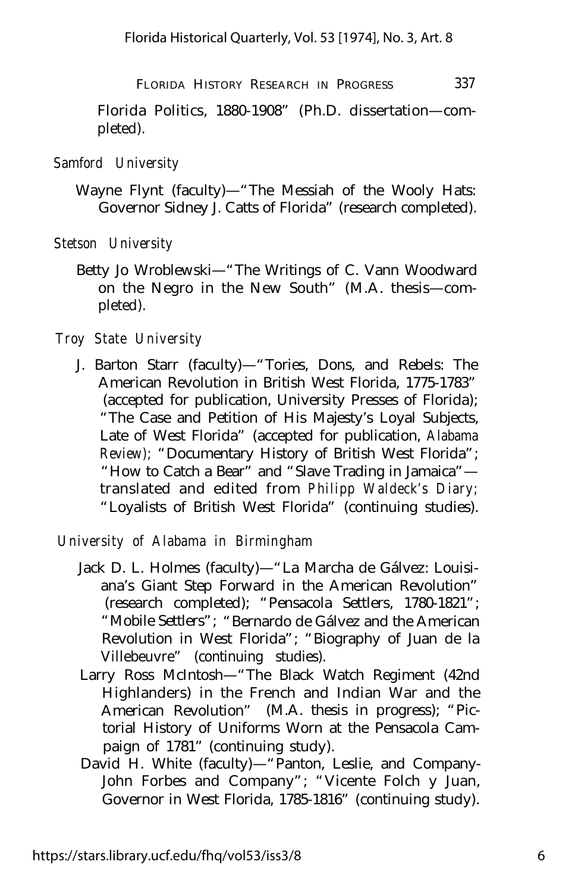Florida Politics, 1880-1908" (Ph.D. dissertation— completed).

#### *Samford University*

Wayne Flynt (faculty)— "The Messiah of the Wooly Hats: Governor Sidney J. Catts of Florida" (research completed).

*Stetson University*

Betty Jo Wroblewski— "The Writings of C. Vann Woodward on the Negro in the New South" (M.A. thesis— completed).

#### *Troy State University*

J. Barton Starr (faculty)— "Tories, Dons, and Rebels: The American Revolution in British West Florida, 1775-1783" (accepted for publication, University Presses of Florida); "The Case and Petition of His Majesty's Loyal Subjects, Late of West Florida" (accepted for publication, *Alabama Review);* "Documentary History of British West Florida"; "How to Catch a Bear" and "Slave Trading in Jamaica" translated and edited from *Philipp Waldeck's Diary;* "Loyalists of British West Florida" (continuing studies).

#### *University of Alabama in Birmingham*

- Jack D. L. Holmes (faculty)— "La Marcha de Gálvez: Louisiana's Giant Step Forward in the American Revolution" (research completed); "Pensacola Settlers, 1780-1821"; "Mobile Settlers"; "Bernardo de Gálvez and the American Revolution in West Florida"; "Biography of Juan de la Villebeuvre" (continuing studies).
- Larry Ross McIntosh— "The Black Watch Regiment (42nd Highlanders) in the French and Indian War and the American Revolution" (M.A. thesis in progress); "Pictorial History of Uniforms Worn at the Pensacola Campaign of 1781" (continuing study).
- David H. White (faculty)— "Panton, Leslie, and Company-John Forbes and Company"; "Vicente Folch y Juan, Governor in West Florida, 1785-1816" (continuing study).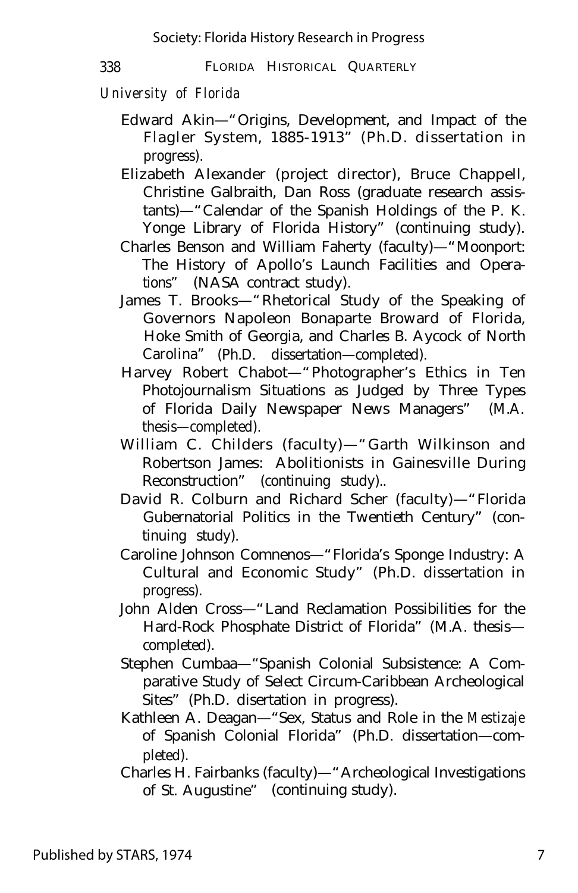# *University of Florida*

- Edward Akin— "Origins, Development, and Impact of the Flagler System, 1885-1913" (Ph.D. dissertation in progress).
- Elizabeth Alexander (project director), Bruce Chappell, Christine Galbraith, Dan Ross (graduate research assistants)— "Calendar of the Spanish Holdings of the P. K. Yonge Library of Florida History" (continuing study).
- Charles Benson and William Faherty (faculty)— "Moonport: The History of Apollo's Launch Facilities and Operations" (NASA contract study).
- James T. Brooks— "Rhetorical Study of the Speaking of Governors Napoleon Bonaparte Broward of Florida, Hoke Smith of Georgia, and Charles B. Aycock of North Carolina" (Ph.D. dissertation— completed).
- Harvey Robert Chabot— "Photographer's Ethics in Ten Photojournalism Situations as Judged by Three Types of Florida Daily Newspaper News Managers" (M.A. thesis— completed).
- William C. Childers (faculty)— "Garth Wilkinson and Robertson James: Abolitionists in Gainesville During Reconstruction" (continuing study)..
- David R. Colburn and Richard Scher (faculty)— "Florida Gubernatorial Politics in the Twentieth Century" (continuing study).
- Caroline Johnson Comnenos— "Florida's Sponge Industry: A Cultural and Economic Study" (Ph.D. dissertation in progress).
- John Alden Cross— "Land Reclamation Possibilities for the Hard-Rock Phosphate District of Florida" (M.A. thesis completed).
- Stephen Cumbaa— "Spanish Colonial Subsistence: A Comparative Study of Select Circum-Caribbean Archeological Sites" (Ph.D. disertation in progress).
- Kathleen A. Deagan— "Sex, Status and Role in the *Mestizaje* of Spanish Colonial Florida" (Ph.D. dissertation— completed).
- Charles H. Fairbanks (faculty)— "Archeological Investigations of St. Augustine" (continuing study).

Published by STARS, 1974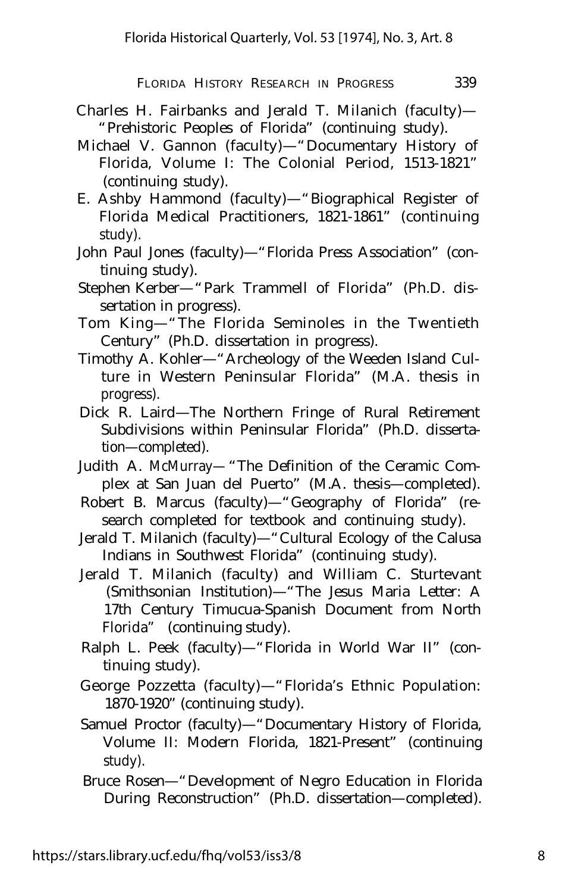- Charles H. Fairbanks and Jerald T. Milanich (faculty)— "Prehistoric Peoples of Florida" (continuing study).
- Michael V. Gannon (faculty)— "Documentary History of Florida, Volume I: The Colonial Period, 1513-1821" (continuing study).
- E. Ashby Hammond (faculty)— "Biographical Register of Florida Medical Practitioners, 1821-1861" (continuing study).
- John Paul Jones (faculty)— "Florida Press Association" (continuing study).
- Stephen Kerber— "Park Trammell of Florida" (Ph.D. dissertation in progress).
- Tom King— "The Florida Seminoles in the Twentieth Century" (Ph.D. dissertation in progress).
- Timothy A. Kohler— "Archeology of the Weeden Island Culture in Western Peninsular Florida" (M.A. thesis in progress).
- Dick R. Laird— The Northern Fringe of Rural Retirement Subdivisions within Peninsular Florida" (Ph.D. dissertation— completed).
- Judith A. McMurray— "The Definition of the Ceramic Complex at San Juan del Puerto" (M.A. thesis— completed).
- Robert B. Marcus (faculty)— "Geography of Florida" (research completed for textbook and continuing study).
- Jerald T. Milanich (faculty)— "Cultural Ecology of the Calusa Indians in Southwest Florida" (continuing study).
- Jerald T. Milanich (faculty) and William C. Sturtevant (Smithsonian Institution)— "The Jesus Maria Letter: A 17th Century Timucua-Spanish Document from North Florida" (continuing study).
- Ralph L. Peek (faculty)— "Florida in World War II" (continuing study).
- George Pozzetta (faculty)— "Florida's Ethnic Population: 1870-1920" (continuing study).
- Samuel Proctor (faculty)— "Documentary History of Florida, Volume II: Modern Florida, 1821-Present" (continuing study).
- Bruce Rosen— "Development of Negro Education in Florida During Reconstruction" (Ph.D. dissertation— completed).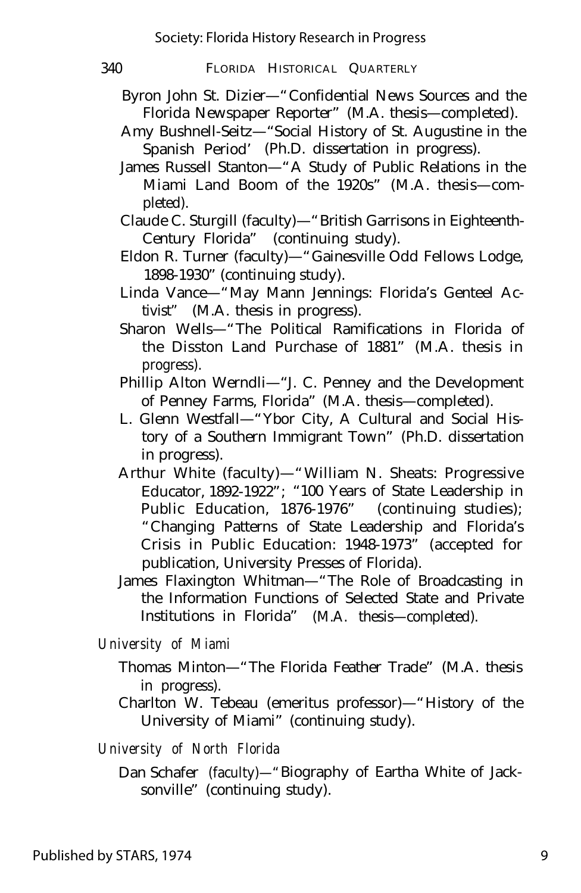- Byron John St. Dizier— "Confidential News Sources and the Florida Newspaper Reporter" (M.A. thesis— completed).
- Amy Bushnell-Seitz— "Social History of St. Augustine in the Spanish Period' (Ph.D. dissertation in progress).
- James Russell Stanton— "A Study of Public Relations in the Miami Land Boom of the 1920s" (M.A. thesis— completed).
- Claude C. Sturgill (faculty)— "British Garrisons in Eighteenth-Century Florida" (continuing study).
- Eldon R. Turner (faculty)— "Gainesville Odd Fellows Lodge, 1898-1930" (continuing study).
- Linda Vance— "May Mann Jennings: Florida's Genteel Activist" (M.A. thesis in progress).
- Sharon Wells— "The Political Ramifications in Florida of the Disston Land Purchase of 1881" (M.A. thesis in progress).
- Phillip Alton Werndli— "J. C. Penney and the Development of Penney Farms, Florida" (M.A. thesis— completed).
- L. Glenn Westfall— "Ybor City, A Cultural and Social History of a Southern Immigrant Town" (Ph.D. dissertation in progress).
- Arthur White (faculty)— "William N. Sheats: Progressive Educator, 1892-1922"; "100 Years of State Leadership in Public Education, 1876-1976" (continuing studies); "Changing Patterns of State Leadership and Florida's Crisis in Public Education: 1948-1973" (accepted for publication, University Presses of Florida).
- James Flaxington Whitman— "The Role of Broadcasting in the Information Functions of Selected State and Private Institutions in Florida" (M.A. thesis— completed).

*University of Miami*

- Thomas Minton— "The Florida Feather Trade" (M.A. thesis in progress).
- Charlton W. Tebeau (emeritus professor)— "History of the University of Miami" (continuing study).

*University of North Florida*

Dan Schafer (faculty)— "Biography of Eartha White of Jacksonville" (continuing study).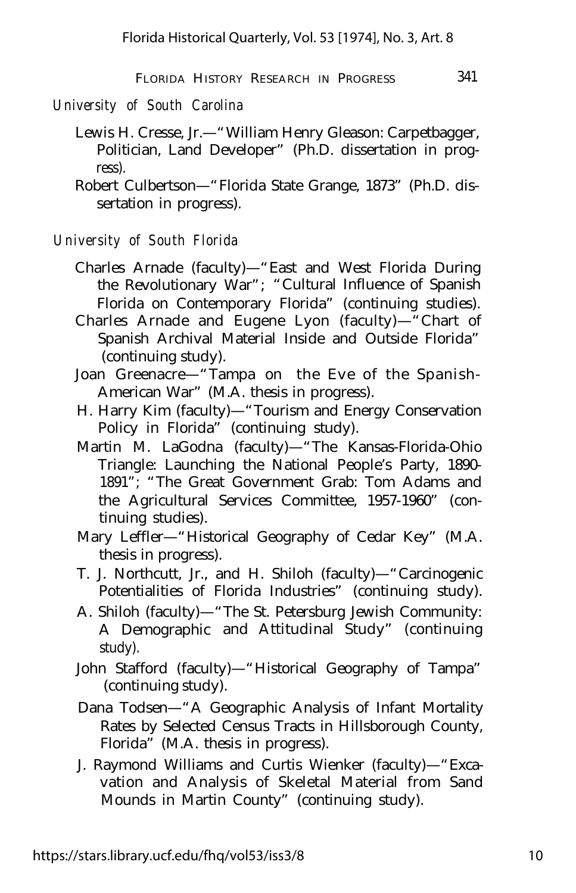*University of South Carolina*

- Lewis H. Cresse, Jr.— "William Henry Gleason: Carpetbagger, Politician, Land Developer" (Ph.D. dissertation in progress).
- Robert Culbertson— "Florida State Grange, 1873" (Ph.D. dissertation in progress).

### *University of South Florida*

- Charles Arnade (faculty)— "East and West Florida During the Revolutionary War"; "Cultural Influence of Spanish Florida on Contemporary Florida" (continuing studies).
- Charles Arnade and Eugene Lyon (faculty)— "Chart of Spanish Archival Material Inside and Outside Florida" (continuing study).
- Joan Greenacre— "Tampa on the Eve of the Spanish-American War" (M.A. thesis in progress).
- H. Harry Kim (faculty)— "Tourism and Energy Conservation Policy in Florida" (continuing study).
- Martin M. LaGodna (faculty)— "The Kansas-Florida-Ohio Triangle: Launching the National People's Party, 1890- 1891"; "The Great Government Grab: Tom Adams and the Agricultural Services Committee, 1957-1960" (continuing studies).
- Mary Leffler— "Historical Geography of Cedar Key" (M.A. thesis in progress).
- T. J. Northcutt, Jr., and H. Shiloh (faculty)— "Carcinogenic Potentialities of Florida Industries" (continuing study).
- A. Shiloh (faculty)— "The St. Petersburg Jewish Community: A Demographic and Attitudinal Study" (continuing study).
- John Stafford (faculty)— "Historical Geography of Tampa" (continuing study).
- Dana Todsen— "A Geographic Analysis of Infant Mortality Rates by Selected Census Tracts in Hillsborough County, Florida" (M.A. thesis in progress).
- J. Raymond Williams and Curtis Wienker (faculty)— "Excavation and Analysis of Skeletal Material from Sand Mounds in Martin County" (continuing study).